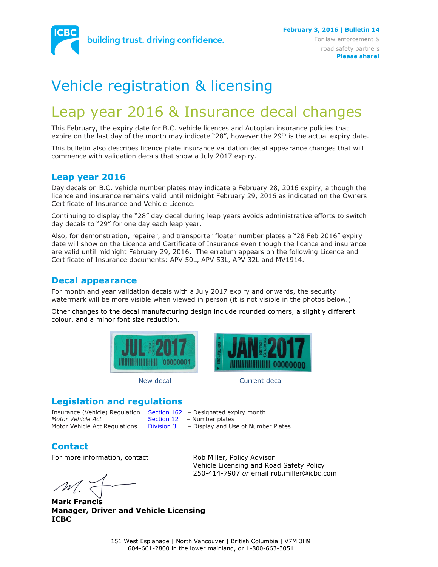

# Vehicle registration & licensing

## Leap year 2016 & Insurance decal changes

This February, the expiry date for B.C. vehicle licences and Autoplan insurance policies that expire on the last day of the month may indicate "28", however the 29<sup>th</sup> is the actual expiry date.

This bulletin also describes licence plate insurance validation decal appearance changes that will commence with validation decals that show a July 2017 expiry.

#### **Leap year 2016**

Day decals on B.C. vehicle number plates may indicate a February 28, 2016 expiry, although the licence and insurance remains valid until midnight February 29, 2016 as indicated on the Owners Certificate of Insurance and Vehicle Licence.

Continuing to display the "28" day decal during leap years avoids administrative efforts to switch day decals to "29" for one day each leap year.

Also, for demonstration, repairer, and transporter floater number plates a "28 Feb 2016" expiry date will show on the Licence and Certificate of Insurance even though the licence and insurance are valid until midnight February 29, 2016. The erratum appears on the following Licence and Certificate of Insurance documents: APV 50L, APV 53L, APV 32L and MV1914.

#### **Decal appearance**

For month and year validation decals with a July 2017 expiry and onwards, the security watermark will be more visible when viewed in person (it is not visible in the photos below.)

Other changes to the decal manufacturing design include rounded corners, a slightly different colour, and a minor font size reduction.





#### New decal and Current decal

#### **Legislation and regulations**

Insurance (Vehicle) Regulation [Section](http://www.bclaws.ca/civix/document/LOC/complete/statreg/--%20I%20--/25_Insurance%20(Vehicle)%20Act%20%5bRSBC%201996%5d%20c.%20231/05_Regulations/10_447_83%20-%20Insurance%20(Vehicle)%20Regulation/447_83_12.xml#section162) 162 - Designated expiry month *Motor Vehicle Act* **[Section 12](http://www.bclaws.ca/civix/document/LOC/complete/statreg/--%20M%20--/47_Motor%20Vehicle%20Act%20%5bRSBC%201996%5d%20c.%20318/00_Act/96318_01.xml#section12)** - Number plates

- 
- Motor Vehicle Act Regulations  $\frac{Division 3}{}$  $\frac{Division 3}{}$  $\frac{Division 3}{}$  Display and Use of Number Plates

#### **Contact**

For more information, contact Rob Miller, Policy Advisor

**Mark Francis Manager, Driver and Vehicle Licensing ICBC**

Vehicle Licensing and Road Safety Policy 250-414-7907 *or* email rob.miller@icbc.com